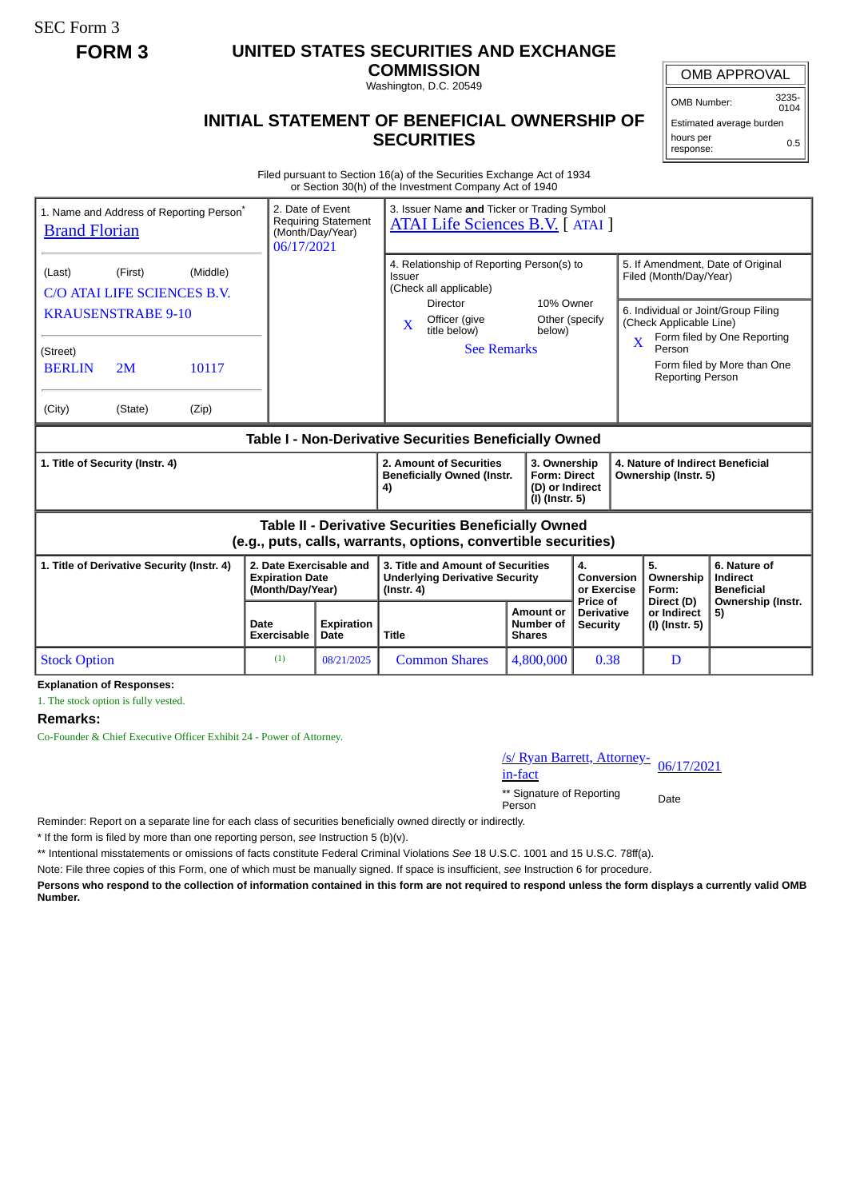SEC Form 3

## **FORM 3 UNITED STATES SECURITIES AND EXCHANGE**

**COMMISSION** Washington, D.C. 20549

OMB APPROVAL

OMB Number: 3235-  $0104$ 

## **INITIAL STATEMENT OF BENEFICIAL OWNERSHIP OF SECURITIES**

Estimated average burden hours per response: 0.5

Filed pursuant to Section 16(a) of the Securities Exchange Act of 1934 or Section 30(h) of the Investment Company Act of 1940

| 1. Name and Address of Reporting Person <sup>*</sup><br><b>Brand Florian</b>                                                 |                                                                                      |                                                                       | 2. Date of Event<br>(Month/Day/Year)<br>06/17/2021 | Requiring Statement                                                                            | 3. Issuer Name and Ticker or Trading Symbol<br><b>ATAI Life Sciences B.V.</b> [ ATAI ]                                                                                  |                                                |                                        |                                                                                        |                                                                                                                                        |  |
|------------------------------------------------------------------------------------------------------------------------------|--------------------------------------------------------------------------------------|-----------------------------------------------------------------------|----------------------------------------------------|------------------------------------------------------------------------------------------------|-------------------------------------------------------------------------------------------------------------------------------------------------------------------------|------------------------------------------------|----------------------------------------|----------------------------------------------------------------------------------------|----------------------------------------------------------------------------------------------------------------------------------------|--|
| (Last)<br>(Street)<br><b>BERLIN</b><br>(City)                                                                                | (First)<br>C/O ATAI LIFE SCIENCES B.V.<br><b>KRAUSENSTRABE 9-10</b><br>2M<br>(State) | (Middle)<br>10117<br>(Zip)                                            |                                                    |                                                                                                | 4. Relationship of Reporting Person(s) to<br>Issuer<br>(Check all applicable)<br><b>Director</b><br>Officer (give<br>$\mathbf{X}$<br>title below)<br><b>See Remarks</b> | 10% Owner<br>Other (specify<br>below)          | $\overline{\mathbf{X}}$                | Filed (Month/Day/Year)<br>(Check Applicable Line)<br>Person<br><b>Reporting Person</b> | 5. If Amendment, Date of Original<br>6. Individual or Joint/Group Filing<br>Form filed by One Reporting<br>Form filed by More than One |  |
| Table I - Non-Derivative Securities Beneficially Owned                                                                       |                                                                                      |                                                                       |                                                    |                                                                                                |                                                                                                                                                                         |                                                |                                        |                                                                                        |                                                                                                                                        |  |
| 1. Title of Security (Instr. 4)                                                                                              |                                                                                      |                                                                       |                                                    |                                                                                                | 2. Amount of Securities<br>3. Ownership<br><b>Beneficially Owned (Instr.</b><br><b>Form: Direct</b><br>(D) or Indirect<br>4)<br>(I) (Instr. 5)                          |                                                |                                        | 4. Nature of Indirect Beneficial<br>Ownership (Instr. 5)                               |                                                                                                                                        |  |
| <b>Table II - Derivative Securities Beneficially Owned</b><br>(e.g., puts, calls, warrants, options, convertible securities) |                                                                                      |                                                                       |                                                    |                                                                                                |                                                                                                                                                                         |                                                |                                        |                                                                                        |                                                                                                                                        |  |
| 1. Title of Derivative Security (Instr. 4)                                                                                   |                                                                                      | 2. Date Exercisable and<br><b>Expiration Date</b><br>(Month/Day/Year) |                                                    | 3. Title and Amount of Securities<br><b>Underlying Derivative Security</b><br>$($ Instr. 4 $)$ |                                                                                                                                                                         | 4.<br>Conversion<br>or Exercise<br>Price of    | 5.<br>Ownership<br>Form:<br>Direct (D) | 6. Nature of<br>Indirect<br><b>Beneficial</b><br>Ownership (Instr.                     |                                                                                                                                        |  |
|                                                                                                                              |                                                                                      |                                                                       | Date<br>Exercisable                                | <b>Expiration</b><br>Date                                                                      | <b>Title</b>                                                                                                                                                            | <b>Amount or</b><br>Number of<br><b>Shares</b> | <b>Derivative</b><br><b>Security</b>   | or Indirect<br>(I) (Instr. 5)                                                          | 5)                                                                                                                                     |  |
| <b>Stock Option</b>                                                                                                          |                                                                                      |                                                                       | (1)                                                | 08/21/2025                                                                                     | <b>Common Shares</b>                                                                                                                                                    | 4,800,000                                      | 0.38                                   | D                                                                                      |                                                                                                                                        |  |

**Explanation of Responses:**

1. The stock option is fully vested.

## **Remarks:**

Co-Founder & Chief Executive Officer Exhibit 24 - Power of Attorney.

/s/ Ryan Barrett, Attorney-<br>in-fact

\*\* Signature of Reporting Person Date

Reminder: Report on a separate line for each class of securities beneficially owned directly or indirectly.

\* If the form is filed by more than one reporting person, *see* Instruction 5 (b)(v).

\*\* Intentional misstatements or omissions of facts constitute Federal Criminal Violations *See* 18 U.S.C. 1001 and 15 U.S.C. 78ff(a).

Note: File three copies of this Form, one of which must be manually signed. If space is insufficient, *see* Instruction 6 for procedure.

**Persons who respond to the collection of information contained in this form are not required to respond unless the form displays a currently valid OMB Number.**